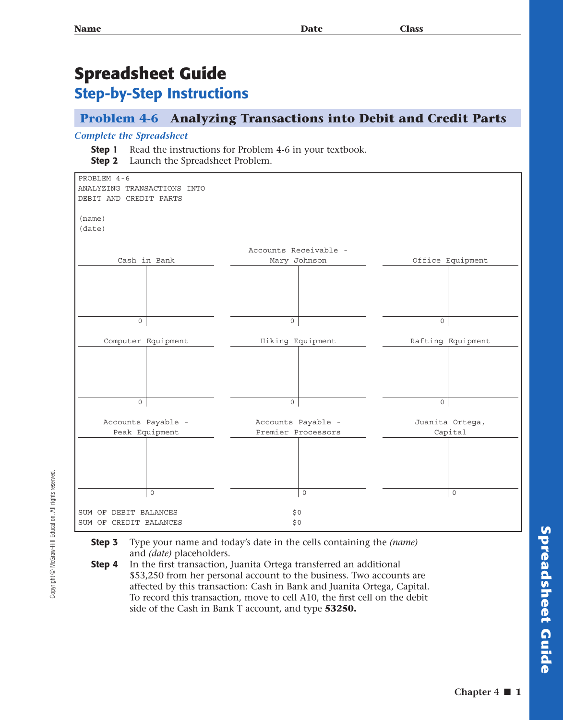## **Spreadsheet Guide Step-by-Step Instructions**

## **Problem 4-6 Analyzing Transactions into Debit and Credit Parts**

## *Complete the Spreadsheet*

- **Step 1** Read the instructions for Problem 4-6 in your textbook.
- **Step 2** Launch the Spreadsheet Problem.



Copyright @ McGraw-Hill Education. All rights reserved Copyright © McGraw-Hill Education. All rights reserved.

- **Step 3** Type your name and today's date in the cells containing the *(name)*  and *(date)* placeholders.
- **Step 4** In the first transaction, Juanita Ortega transferred an additional \$53,250 from her personal account to the business. Two accounts are affected by this transaction: Cash in Bank and Juanita Ortega, Capital. To record this transaction, move to cell A10, the first cell on the debit side of the Cash in Bank T account, and type **53250.**